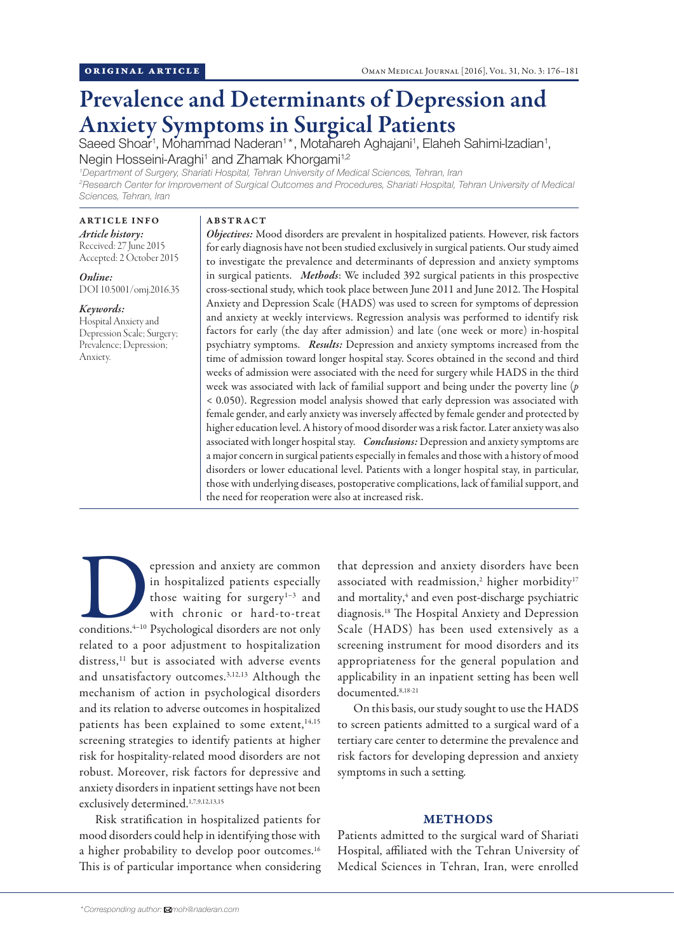# Prevalence and Determinants of Depression and Anxiety Symptoms in Surgical Patients

Saeed Shoar<sup>1</sup>, Mohammad Naderan<sup>1\*</sup>, Motahareh Aghajani<sup>1</sup>, Elaheh Sahimi-Izadian<sup>1</sup>, Negin Hosseini-Araghi<sup>1</sup> and Zhamak Khorgami<sup>1,2</sup>

*1 Department of Surgery, Shariati Hospital, Tehran University of Medical Sciences, Tehran, Iran*

<sup>2</sup> Research Center for Improvement of Surgical Outcomes and Procedures, Shariati Hospital, Tehran University of Medical *Sciences, Tehran, Iran*

# ARTICLE INFO

*Article history:* Received: 27 June 2015 Accepted: 2 October 2015

*Online:* DOI 10.5001/omj.2016.35

## *Keywords:*

Hospital Anxiety and Depression Scale; Surgery; Prevalence; Depression; Anxiety.

### ABSTRACT

*Objectives:* Mood disorders are prevalent in hospitalized patients. However, risk factors for early diagnosis have not been studied exclusively in surgical patients. Our study aimed to investigate the prevalence and determinants of depression and anxiety symptoms in surgical patients. *Methods*: We included 392 surgical patients in this prospective cross-sectional study, which took place between June 2011 and June 2012. The Hospital Anxiety and Depression Scale (HADS) was used to screen for symptoms of depression and anxiety at weekly interviews. Regression analysis was performed to identify risk factors for early (the day after admission) and late (one week or more) in-hospital psychiatry symptoms. *Results:* Depression and anxiety symptoms increased from the time of admission toward longer hospital stay. Scores obtained in the second and third weeks of admission were associated with the need for surgery while HADS in the third week was associated with lack of familial support and being under the poverty line (*p* < 0.050). Regression model analysis showed that early depression was associated with female gender, and early anxiety was inversely affected by female gender and protected by higher education level. A history of mood disorder was a risk factor. Later anxiety was also associated with longer hospital stay. *Conclusions:* Depression and anxiety symptoms are a major concern in surgical patients especially in females and those with a history of mood disorders or lower educational level. Patients with a longer hospital stay, in particular, those with underlying diseases, postoperative complications, lack of familial support, and the need for reoperation were also at increased risk.

epression and anxiety are common<br>
in hospitalized patients especially<br>
those waiting for surgery<sup>1-3</sup> and<br>
with chronic or hard-to-treat<br>
conditions.<sup>4-10</sup> Psychological disorders are not only in hospitalized patients especially those waiting for surgery<sup>1-3</sup> and with chronic or hard-to-treat related to a poor adjustment to hospitalization distress,<sup>11</sup> but is associated with adverse events and unsatisfactory outcomes.3,12,13 Although the mechanism of action in psychological disorders and its relation to adverse outcomes in hospitalized patients has been explained to some extent,<sup>14,15</sup> screening strategies to identify patients at higher risk for hospitality-related mood disorders are not robust. Moreover, risk factors for depressive and anxiety disorders in inpatient settings have not been exclusively determined.1,7,9,12,13,15

Risk stratification in hospitalized patients for mood disorders could help in identifying those with a higher probability to develop poor outcomes.<sup>16</sup> This is of particular importance when considering that depression and anxiety disorders have been associated with readmission,<sup>2</sup> higher morbidity<sup>17</sup> and mortality,<sup>4</sup> and even post-discharge psychiatric diagnosis.18 The Hospital Anxiety and Depression Scale (HADS) has been used extensively as a screening instrument for mood disorders and its appropriateness for the general population and applicability in an inpatient setting has been well documented.8,18-21

On this basis, our study sought to use the HADS to screen patients admitted to a surgical ward of a tertiary care center to determine the prevalence and risk factors for developing depression and anxiety symptoms in such a setting.

#### METHODS

Patients admitted to the surgical ward of Shariati Hospital, affiliated with the Tehran University of Medical Sciences in Tehran, Iran, were enrolled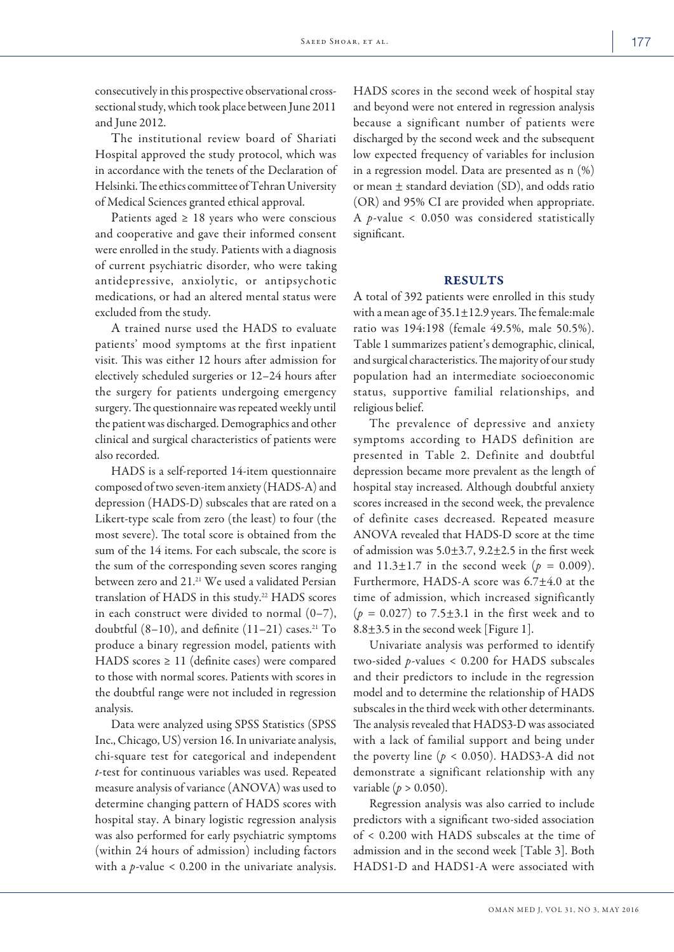consecutively in this prospective observational crosssectional study, which took place between June 2011 and June 2012.

The institutional review board of Shariati Hospital approved the study protocol, which was in accordance with the tenets of the Declaration of Helsinki. The ethics committee of Tehran University of Medical Sciences granted ethical approval.

Patients aged  $\geq$  18 years who were conscious and cooperative and gave their informed consent were enrolled in the study. Patients with a diagnosis of current psychiatric disorder, who were taking antidepressive, anxiolytic, or antipsychotic medications, or had an altered mental status were excluded from the study.

A trained nurse used the HADS to evaluate patients' mood symptoms at the first inpatient visit. This was either 12 hours after admission for electively scheduled surgeries or 12–24 hours after the surgery for patients undergoing emergency surgery. The questionnaire was repeated weekly until the patient was discharged. Demographics and other clinical and surgical characteristics of patients were also recorded.

HADS is a self-reported 14-item questionnaire composed of two seven-item anxiety (HADS-A) and depression (HADS-D) subscales that are rated on a Likert-type scale from zero (the least) to four (the most severe). The total score is obtained from the sum of the 14 items. For each subscale, the score is the sum of the corresponding seven scores ranging between zero and 21.21 We used a validated Persian translation of HADS in this study.<sup>22</sup> HADS scores in each construct were divided to normal  $(0-7)$ , doubtful  $(8-10)$ , and definite  $(11-21)$  cases.<sup>21</sup> To produce a binary regression model, patients with HADS scores  $\geq$  11 (definite cases) were compared to those with normal scores. Patients with scores in the doubtful range were not included in regression analysis.

Data were analyzed using SPSS Statistics (SPSS Inc., Chicago, US) version 16. In univariate analysis, chi-square test for categorical and independent *t*-test for continuous variables was used. Repeated measure analysis of variance (ANOVA) was used to determine changing pattern of HADS scores with hospital stay. A binary logistic regression analysis was also performed for early psychiatric symptoms (within 24 hours of admission) including factors with a *p-*value < 0.200 in the univariate analysis.

HADS scores in the second week of hospital stay and beyond were not entered in regression analysis because a significant number of patients were discharged by the second week and the subsequent low expected frequency of variables for inclusion in a regression model. Data are presented as n (%) or mean ± standard deviation (SD), and odds ratio (OR) and 95% CI are provided when appropriate. A *p-*value < 0.050 was considered statistically significant.

#### RESULTS

A total of 392 patients were enrolled in this study with a mean age of  $35.1 \pm 12.9$  years. The female: male ratio was 194:198 (female 49.5%, male 50.5%). Table 1 summarizes patient's demographic, clinical, and surgical characteristics. The majority of our study population had an intermediate socioeconomic status, supportive familial relationships, and religious belief.

The prevalence of depressive and anxiety symptoms according to HADS definition are presented in Table 2. Definite and doubtful depression became more prevalent as the length of hospital stay increased. Although doubtful anxiety scores increased in the second week, the prevalence of definite cases decreased. Repeated measure ANOVA revealed that HADS-D score at the time of admission was 5.0±3.7, 9.2±2.5 in the first week and  $11.3 \pm 1.7$  in the second week ( $p = 0.009$ ). Furthermore, HADS-A score was 6.7±4.0 at the time of admission, which increased significantly  $(p = 0.027)$  to 7.5 $\pm$ 3.1 in the first week and to 8.8±3.5 in the second week [Figure 1].

Univariate analysis was performed to identify two-sided *p-*values < 0.200 for HADS subscales and their predictors to include in the regression model and to determine the relationship of HADS subscales in the third week with other determinants. The analysis revealed that HADS3-D was associated with a lack of familial support and being under the poverty line ( $p < 0.050$ ). HADS3-A did not demonstrate a significant relationship with any variable (*p* > 0.050).

Regression analysis was also carried to include predictors with a significant two-sided association of < 0.200 with HADS subscales at the time of admission and in the second week [Table 3]. Both HADS1-D and HADS1-A were associated with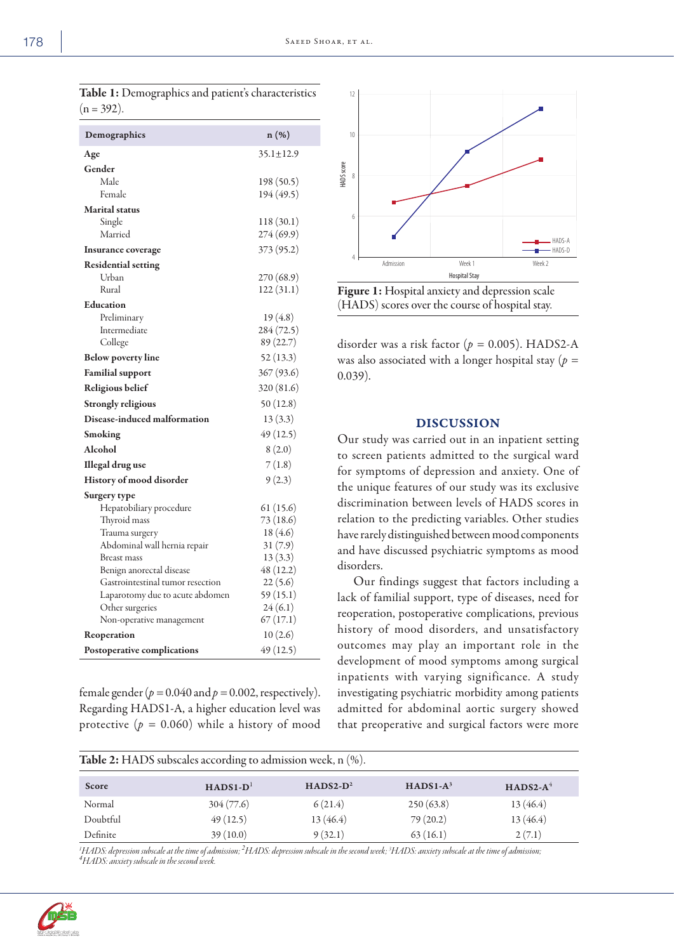| $(11 - J/L).$                    |                 |
|----------------------------------|-----------------|
| Demographics                     | n (%)           |
| Age                              | $35.1 \pm 12.9$ |
| Gender                           |                 |
| Male                             | 198 (50.5)      |
| Female                           | 194 (49.5)      |
| <b>Marital</b> status            |                 |
| Single                           | 118 (30.1)      |
| Married                          | 274 (69.9)      |
| Insurance coverage               | 373 (95.2)      |
| <b>Residential setting</b>       |                 |
| Urban                            | 270 (68.9)      |
| Rural                            | 122 (31.1)      |
| <b>Education</b>                 |                 |
| Preliminary                      | 19 (4.8)        |
| Intermediate                     | 284 (72.5)      |
| College                          | 89 (22.7)       |
| <b>Below poverty line</b>        | 52 (13.3)       |
| <b>Familial</b> support          | 367 (93.6)      |
| Religious belief                 | 320 (81.6)      |
| Strongly religious               | 50(12.8)        |
| Disease-induced malformation     | 13(3.3)         |
| Smoking                          | 49 (12.5)       |
| Alcohol                          | 8(2.0)          |
| <b>Illegal</b> drug use          | 7(1.8)          |
| History of mood disorder         | 9(2.3)          |
| Surgery type                     |                 |
| Hepatobiliary procedure          | 61 (15.6)       |
| Thyroid mass                     | 73 (18.6)       |
| Trauma surgery                   | 18 (4.6)        |
| Abdominal wall hernia repair     | 31(7.9)         |
| <b>Breast mass</b>               | 13(3.3)         |
| Benign anorectal disease         | 48 (12.2)       |
| Gastrointestinal tumor resection | 22(5.6)         |
| Laparotomy due to acute abdomen  | 59 (15.1)       |
| Other surgeries                  | 24(6.1)         |
| Non-operative management         | 67(17.1)        |
| Reoperation                      | 10(2.6)         |
| Postoperative complications      | 49 (12.5)       |
|                                  |                 |

female gender ( $p = 0.040$  and  $p = 0.002$ , respectively). Regarding HADS1-A, a higher education level was protective  $(p = 0.060)$  while a history of mood



Figure 1: Hospital anxiety and depression scale (HADS) scores over the course of hospital stay.

disorder was a risk factor (*p =* 0.005). HADS2-A was also associated with a longer hospital stay (*p =*  0.039).

#### DISCUSSION

Our study was carried out in an inpatient setting to screen patients admitted to the surgical ward for symptoms of depression and anxiety. One of the unique features of our study was its exclusive discrimination between levels of HADS scores in relation to the predicting variables. Other studies have rarely distinguished between mood components and have discussed psychiatric symptoms as mood disorders.

Our findings suggest that factors including a lack of familial support, type of diseases, need for reoperation, postoperative complications, previous history of mood disorders, and unsatisfactory outcomes may play an important role in the development of mood symptoms among surgical inpatients with varying significance. A study investigating psychiatric morbidity among patients admitted for abdominal aortic surgery showed that preoperative and surgical factors were more

| Table 2: HADS subscales according to admission week, n (%). |            |             |            |            |  |  |  |
|-------------------------------------------------------------|------------|-------------|------------|------------|--|--|--|
| Score                                                       | $HADS1-D1$ | $HADS2-D^2$ | $HADS1-A3$ | $HADS2-A4$ |  |  |  |
| Normal                                                      | 304(77.6)  | 6(21.4)     | 250(63.8)  | 13(46.4)   |  |  |  |
| Doubtful                                                    | 49(12.5)   | 13(46.4)    | 79(20.2)   | 13(46.4)   |  |  |  |
| Definite                                                    | 39(10.0)   | 9(32.1)     | 63(16.1)   | 2(7.1)     |  |  |  |

<sup>1</sup> HADS: depression subscale at the time of admission; <sup>2</sup> HADS: depression subscale in the second week; <sup>3</sup> HADS: anxiety subscale at the time of admission;<br><sup>4</sup> HADS: anxiety subscale in the second week *HADS: anxiety subscale in the second week.*



| Table 1: Demographics and patient's characteristics |
|-----------------------------------------------------|
| $(n = 392)$ .                                       |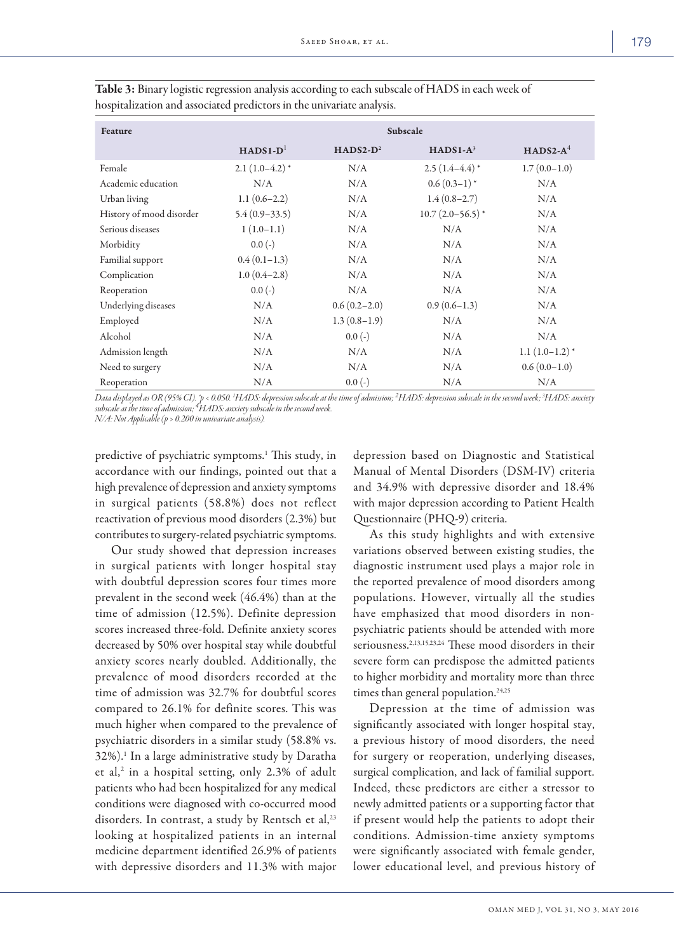| Feature                  | Subscale               |                |                    |                  |
|--------------------------|------------------------|----------------|--------------------|------------------|
|                          | $HADS1-D$ <sup>1</sup> | $HADS2-D^2$    | $HADS1-A3$         | $HADS2-A4$       |
| Female                   | $2.1(1.0-4.2)^*$       | N/A            | $2.5(1.4-4.4)*$    | $1.7(0.0-1.0)$   |
| Academic education       | N/A                    | N/A            | $0.6(0.3-1)*$      | N/A              |
| Urban living             | $1.1(0.6-2.2)$         | N/A            | $1.4(0.8-2.7)$     | N/A              |
| History of mood disorder | $5.4(0.9-33.5)$        | N/A            | $10.7(2.0-56.5)$ * | N/A              |
| Serious diseases         | $1(1.0-1.1)$           | N/A            | N/A                | N/A              |
| Morbidity                | $0.0(-)$               | N/A            | N/A                | N/A              |
| Familial support         | $0.4(0.1-1.3)$         | N/A            | N/A                | N/A              |
| Complication             | $1.0(0.4-2.8)$         | N/A            | N/A                | N/A              |
| Reoperation              | $0.0(-)$               | N/A            | N/A                | N/A              |
| Underlying diseases      | N/A                    | $0.6(0.2-2.0)$ | $0.9(0.6-1.3)$     | N/A              |
| Employed                 | N/A                    | $1.3(0.8-1.9)$ | N/A                | N/A              |
| Alcohol                  | N/A                    | $0.0(-)$       | N/A                | N/A              |
| Admission length         | N/A                    | N/A            | N/A                | $1.1(1.0-1.2)^*$ |
| Need to surgery          | N/A                    | N/A            | N/A                | $0.6(0.0-1.0)$   |
| Reoperation              | N/A                    | $0.0(-)$       | N/A                | N/A              |

Table 3: Binary logistic regression analysis according to each subscale of HADS in each week of hospitalization and associated predictors in the univariate analysis.

Data displayed as OR (95% CI). \*p < 0.050. <sup>1</sup>HADS: depression subscale at the time of admission; <sup>2</sup>HADS: depression subscale in the second week; <sup>3</sup>HADS: anxiety<br>subscale at the time of admission; <sup>4</sup>HADS: anxiety subsca *N/A: Not Applicable (p > 0.200 in univariate analysis).* 

predictive of psychiatric symptoms.<sup>1</sup> This study, in accordance with our findings, pointed out that a high prevalence of depression and anxiety symptoms in surgical patients (58.8%) does not reflect reactivation of previous mood disorders (2.3%) but contributes to surgery-related psychiatric symptoms.

Our study showed that depression increases in surgical patients with longer hospital stay with doubtful depression scores four times more prevalent in the second week (46.4%) than at the time of admission (12.5%). Definite depression scores increased three-fold. Definite anxiety scores decreased by 50% over hospital stay while doubtful anxiety scores nearly doubled. Additionally, the prevalence of mood disorders recorded at the time of admission was 32.7% for doubtful scores compared to 26.1% for definite scores. This was much higher when compared to the prevalence of psychiatric disorders in a similar study (58.8% vs. 32%).1 In a large administrative study by Daratha et al,<sup>2</sup> in a hospital setting, only 2.3% of adult patients who had been hospitalized for any medical conditions were diagnosed with co-occurred mood disorders. In contrast, a study by Rentsch et al,<sup>23</sup> looking at hospitalized patients in an internal medicine department identified 26.9% of patients with depressive disorders and 11.3% with major

depression based on Diagnostic and Statistical Manual of Mental Disorders (DSM-IV) criteria and 34.9% with depressive disorder and 18.4% with major depression according to Patient Health Questionnaire (PHQ-9) criteria.

As this study highlights and with extensive variations observed between existing studies, the diagnostic instrument used plays a major role in the reported prevalence of mood disorders among populations. However, virtually all the studies have emphasized that mood disorders in nonpsychiatric patients should be attended with more seriousness.2,13,15,23,24 These mood disorders in their severe form can predispose the admitted patients to higher morbidity and mortality more than three times than general population.<sup>24,25</sup>

Depression at the time of admission was significantly associated with longer hospital stay, a previous history of mood disorders, the need for surgery or reoperation, underlying diseases, surgical complication, and lack of familial support. Indeed, these predictors are either a stressor to newly admitted patients or a supporting factor that if present would help the patients to adopt their conditions. Admission-time anxiety symptoms were significantly associated with female gender, lower educational level, and previous history of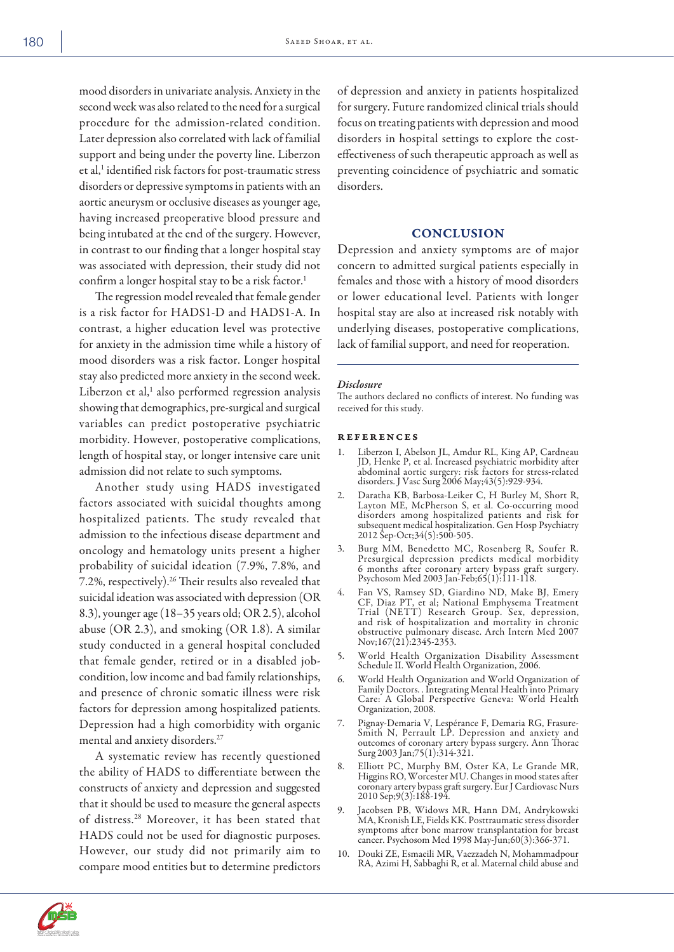mood disorders in univariate analysis. Anxiety in the second week was also related to the need for a surgical procedure for the admission-related condition. Later depression also correlated with lack of familial support and being under the poverty line. Liberzon et al,<sup>1</sup> identified risk factors for post-traumatic stress disorders or depressive symptoms in patients with an aortic aneurysm or occlusive diseases as younger age, having increased preoperative blood pressure and being intubated at the end of the surgery. However, in contrast to our finding that a longer hospital stay was associated with depression, their study did not confirm a longer hospital stay to be a risk factor.<sup>1</sup>

The regression model revealed that female gender is a risk factor for HADS1-D and HADS1-A. In contrast, a higher education level was protective for anxiety in the admission time while a history of mood disorders was a risk factor. Longer hospital stay also predicted more anxiety in the second week. Liberzon et al,<sup>1</sup> also performed regression analysis showing that demographics, pre-surgical and surgical variables can predict postoperative psychiatric morbidity. However, postoperative complications, length of hospital stay, or longer intensive care unit admission did not relate to such symptoms.

Another study using HADS investigated factors associated with suicidal thoughts among hospitalized patients. The study revealed that admission to the infectious disease department and oncology and hematology units present a higher probability of suicidal ideation (7.9%, 7.8%, and 7.2%, respectively).26 Their results also revealed that suicidal ideation was associated with depression (OR 8.3), younger age (18–35 years old; OR 2.5), alcohol abuse (OR 2.3), and smoking (OR 1.8). A similar study conducted in a general hospital concluded that female gender, retired or in a disabled jobcondition, low income and bad family relationships, and presence of chronic somatic illness were risk factors for depression among hospitalized patients. Depression had a high comorbidity with organic mental and anxiety disorders.27

A systematic review has recently questioned the ability of HADS to differentiate between the constructs of anxiety and depression and suggested that it should be used to measure the general aspects of distress.28 Moreover, it has been stated that HADS could not be used for diagnostic purposes. However, our study did not primarily aim to compare mood entities but to determine predictors of depression and anxiety in patients hospitalized for surgery. Future randomized clinical trials should focus on treating patients with depression and mood disorders in hospital settings to explore the costeffectiveness of such therapeutic approach as well as preventing coincidence of psychiatric and somatic disorders.

### **CONCLUSION**

Depression and anxiety symptoms are of major concern to admitted surgical patients especially in females and those with a history of mood disorders or lower educational level. Patients with longer hospital stay are also at increased risk notably with underlying diseases, postoperative complications, lack of familial support, and need for reoperation.

#### *Disclosure*

The authors declared no conflicts of interest. No funding was received for this study.

#### **REFERENCES**

- 1. Liberzon I, Abelson JL, Amdur RL, King AP, Cardneau JD, Henke P, et al. Increased psychiatric morbidity after abdominal aortic surgery: risk factors for stress-related disorders. J Vasc Surg 2006 May;43(5):929-934.
- 2. Daratha KB, Barbosa-Leiker C, H Burley M, Short R, Layton ME, McPherson S, et al. Co-occurring mood disorders among hospitalized patients and risk for subsequent medical hospitalization. Gen Hosp Psychiatry 2012 Sep-Oct;34(5):500-505.
- 3. Burg MM, Benedetto MC, Rosenberg R, Soufer R. Presurgical depression predicts medical morbidity 6 months after coronary artery bypass graft surgery. Psychosom Med 2003 Jan-Feb;65(1):111-118.
- 4. Fan VS, Ramsey SD, Giardino ND, Make BJ, Emery CF, Diaz PT, et al; National Emphysema Treatment Trial (NETT) Research Group. Sex, depression, and risk of hospitalization and mortality in chronic obstructive pulmonary disease. Arch Intern Med 2007 Nov;167(21):2345-2353.
- 5. World Health Organization Disability Assessment Schedule II. World Health Organization, 2006.
- World Health Organization and World Organization of Family Doctors. . Integrating Mental Health into Primary Care: A Global Perspective Geneva: World Health Organization, 2008.
- 7. Pignay-Demaria V, Lespérance F, Demaria RG, Frasure-Smith N, Perrault LP. Depression and anxiety and outcomes of coronary artery bypass surgery. Ann Thorac Surg 2003 Jan;75(1):314-321.
- 8. Elliott PC, Murphy BM, Oster KA, Le Grande MR, Higgins RO, Worcester MU. Changes in mood states after coronary artery bypass graft surgery. Eur J Cardiovasc Nurs 2010 Sep;9(3):188-194.
- 9. Jacobsen PB, Widows MR, Hann DM, Andrykowski MA, Kronish LE, Fields KK. Posttraumatic stress disorder symptoms after bone marrow transplantation for breast cancer. Psychosom Med 1998 May-Jun;60(3):366-371.
- 10. Douki ZE, Esmaeili MR, Vaezzadeh N, Mohammadpour RA, Azimi H, Sabbaghi R, et al. Maternal child abuse and